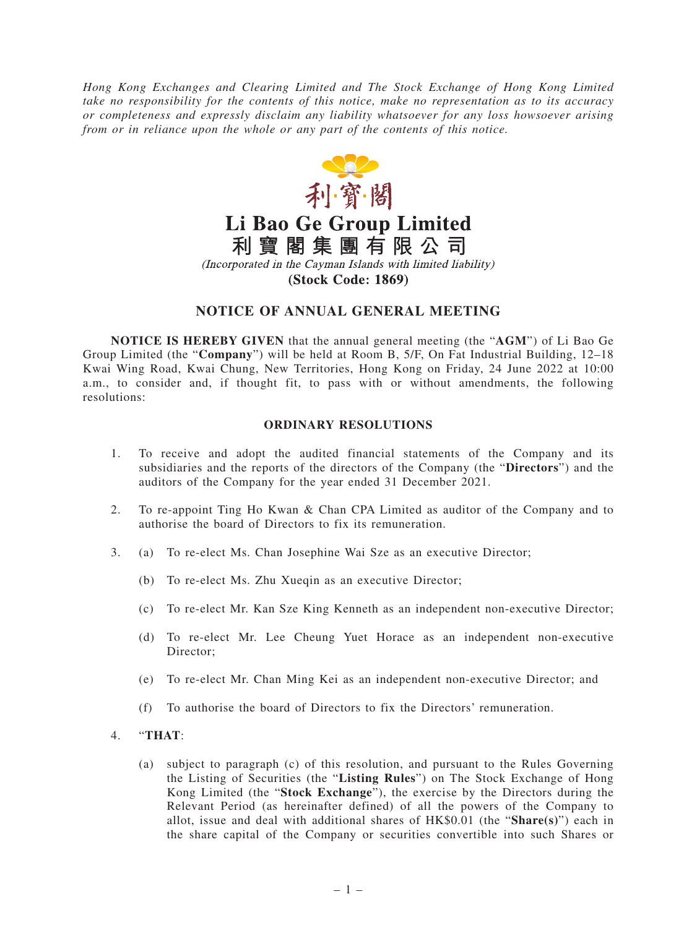*Hong Kong Exchanges and Clearing Limited and The Stock Exchange of Hong Kong Limited take no responsibility for the contents of this notice, make no representation as to its accuracy or completeness and expressly disclaim any liability whatsoever for any loss howsoever arising from or in reliance upon the whole or any part of the contents of this notice.*



# Li Bao Ge Group Limited

利寶閣集團有限公司

(Incorporated in the Cayman Islands with limited liability)

**(Stock Code: 1869)** 

# **NOTICE OF ANNUAL GENERAL MEETING**

**NOTICE IS HEREBY GIVEN** that the annual general meeting (the "**AGM**") of Li Bao Ge Group Limited (the "**Company**") will be held at Room B, 5/F, On Fat Industrial Building, 12–18 Kwai Wing Road, Kwai Chung, New Territories, Hong Kong on Friday, 24 June 2022 at 10:00 a.m., to consider and, if thought fit, to pass with or without amendments, the following resolutions:

## **ORDINARY RESOLUTIONS**

- 1. To receive and adopt the audited financial statements of the Company and its subsidiaries and the reports of the directors of the Company (the "**Directors**") and the auditors of the Company for the year ended 31 December 2021.
- 2. To re-appoint Ting Ho Kwan & Chan CPA Limited as auditor of the Company and to authorise the board of Directors to fix its remuneration.
- 3. (a) To re-elect Ms. Chan Josephine Wai Sze as an executive Director;
	- (b) To re-elect Ms. Zhu Xueqin as an executive Director;
	- (c) To re-elect Mr. Kan Sze King Kenneth as an independent non-executive Director;
	- (d) To re-elect Mr. Lee Cheung Yuet Horace as an independent non-executive Director;
	- (e) To re-elect Mr. Chan Ming Kei as an independent non-executive Director; and
	- (f) To authorise the board of Directors to fix the Directors' remuneration.

### 4. "**THAT**:

(a) subject to paragraph (c) of this resolution, and pursuant to the Rules Governing the Listing of Securities (the "**Listing Rules**") on The Stock Exchange of Hong Kong Limited (the "**Stock Exchange**"), the exercise by the Directors during the Relevant Period (as hereinafter defined) of all the powers of the Company to allot, issue and deal with additional shares of HK\$0.01 (the "**Share(s)**") each in the share capital of the Company or securities convertible into such Shares or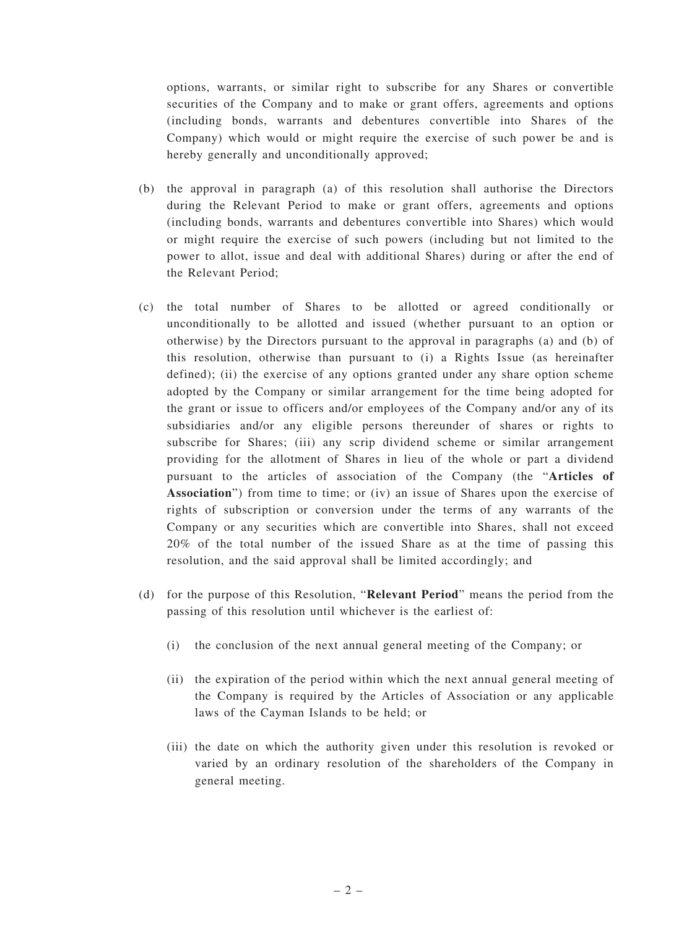options, warrants, or similar right to subscribe for any Shares or convertible securities of the Company and to make or grant offers, agreements and options (including bonds, warrants and debentures convertible into Shares of the Company) which would or might require the exercise of such power be and is hereby generally and unconditionally approved;

- (b) the approval in paragraph (a) of this resolution shall authorise the Directors during the Relevant Period to make or grant offers, agreements and options (including bonds, warrants and debentures convertible into Shares) which would or might require the exercise of such powers (including but not limited to the power to allot, issue and deal with additional Shares) during or after the end of the Relevant Period;
- (c) the total number of Shares to be allotted or agreed conditionally or unconditionally to be allotted and issued (whether pursuant to an option or otherwise) by the Directors pursuant to the approval in paragraphs (a) and (b) of this resolution, otherwise than pursuant to (i) a Rights Issue (as hereinafter defined); (ii) the exercise of any options granted under any share option scheme adopted by the Company or similar arrangement for the time being adopted for the grant or issue to officers and/or employees of the Company and/or any of its subsidiaries and/or any eligible persons thereunder of shares or rights to subscribe for Shares; (iii) any scrip dividend scheme or similar arrangement providing for the allotment of Shares in lieu of the whole or part a dividend pursuant to the articles of association of the Company (the "**Articles of Association**") from time to time; or (iv) an issue of Shares upon the exercise of rights of subscription or conversion under the terms of any warrants of the Company or any securities which are convertible into Shares, shall not exceed 20% of the total number of the issued Share as at the time of passing this resolution, and the said approval shall be limited accordingly; and
- (d) for the purpose of this Resolution, "**Relevant Period**" means the period from the passing of this resolution until whichever is the earliest of:
	- (i) the conclusion of the next annual general meeting of the Company; or
	- (ii) the expiration of the period within which the next annual general meeting of the Company is required by the Articles of Association or any applicable laws of the Cayman Islands to be held; or
	- (iii) the date on which the authority given under this resolution is revoked or varied by an ordinary resolution of the shareholders of the Company in general meeting.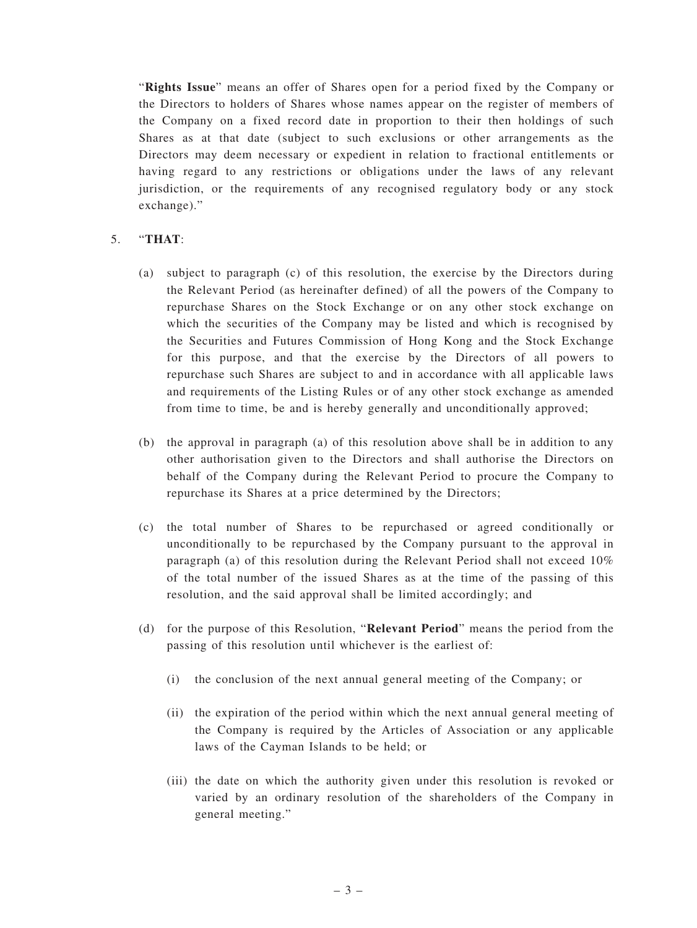"**Rights Issue**" means an offer of Shares open for a period fixed by the Company or the Directors to holders of Shares whose names appear on the register of members of the Company on a fixed record date in proportion to their then holdings of such Shares as at that date (subject to such exclusions or other arrangements as the Directors may deem necessary or expedient in relation to fractional entitlements or having regard to any restrictions or obligations under the laws of any relevant jurisdiction, or the requirements of any recognised regulatory body or any stock exchange)."

## 5. "**THAT**:

- (a) subject to paragraph (c) of this resolution, the exercise by the Directors during the Relevant Period (as hereinafter defined) of all the powers of the Company to repurchase Shares on the Stock Exchange or on any other stock exchange on which the securities of the Company may be listed and which is recognised by the Securities and Futures Commission of Hong Kong and the Stock Exchange for this purpose, and that the exercise by the Directors of all powers to repurchase such Shares are subject to and in accordance with all applicable laws and requirements of the Listing Rules or of any other stock exchange as amended from time to time, be and is hereby generally and unconditionally approved;
- (b) the approval in paragraph (a) of this resolution above shall be in addition to any other authorisation given to the Directors and shall authorise the Directors on behalf of the Company during the Relevant Period to procure the Company to repurchase its Shares at a price determined by the Directors;
- (c) the total number of Shares to be repurchased or agreed conditionally or unconditionally to be repurchased by the Company pursuant to the approval in paragraph (a) of this resolution during the Relevant Period shall not exceed 10% of the total number of the issued Shares as at the time of the passing of this resolution, and the said approval shall be limited accordingly; and
- (d) for the purpose of this Resolution, "**Relevant Period**" means the period from the passing of this resolution until whichever is the earliest of:
	- (i) the conclusion of the next annual general meeting of the Company; or
	- (ii) the expiration of the period within which the next annual general meeting of the Company is required by the Articles of Association or any applicable laws of the Cayman Islands to be held; or
	- (iii) the date on which the authority given under this resolution is revoked or varied by an ordinary resolution of the shareholders of the Company in general meeting."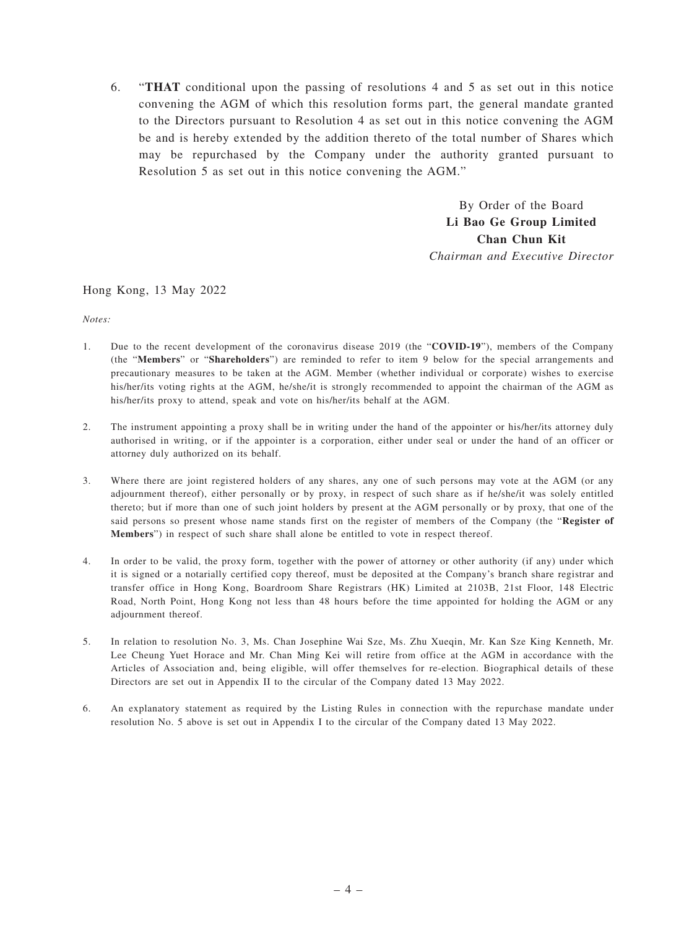6. "**THAT** conditional upon the passing of resolutions 4 and 5 as set out in this notice convening the AGM of which this resolution forms part, the general mandate granted to the Directors pursuant to Resolution 4 as set out in this notice convening the AGM be and is hereby extended by the addition thereto of the total number of Shares which may be repurchased by the Company under the authority granted pursuant to Resolution 5 as set out in this notice convening the AGM."

> By Order of the Board **Li Bao Ge Group Limited Chan Chun Kit** *Chairman and Executive Director*

#### Hong Kong, 13 May 2022

*Notes:*

- 1. Due to the recent development of the coronavirus disease 2019 (the "**COVID-19**"), members of the Company (the "**Members**" or "**Shareholders**") are reminded to refer to item 9 below for the special arrangements and precautionary measures to be taken at the AGM. Member (whether individual or corporate) wishes to exercise his/her/its voting rights at the AGM, he/she/it is strongly recommended to appoint the chairman of the AGM as his/her/its proxy to attend, speak and vote on his/her/its behalf at the AGM.
- 2. The instrument appointing a proxy shall be in writing under the hand of the appointer or his/her/its attorney duly authorised in writing, or if the appointer is a corporation, either under seal or under the hand of an officer or attorney duly authorized on its behalf.
- 3. Where there are joint registered holders of any shares, any one of such persons may vote at the AGM (or any adjournment thereof), either personally or by proxy, in respect of such share as if he/she/it was solely entitled thereto; but if more than one of such joint holders by present at the AGM personally or by proxy, that one of the said persons so present whose name stands first on the register of members of the Company (the "**Register of Members**") in respect of such share shall alone be entitled to vote in respect thereof.
- 4. In order to be valid, the proxy form, together with the power of attorney or other authority (if any) under which it is signed or a notarially certified copy thereof, must be deposited at the Company's branch share registrar and transfer office in Hong Kong, Boardroom Share Registrars (HK) Limited at 2103B, 21st Floor, 148 Electric Road, North Point, Hong Kong not less than 48 hours before the time appointed for holding the AGM or any adjournment thereof.
- 5. In relation to resolution No. 3, Ms. Chan Josephine Wai Sze, Ms. Zhu Xueqin, Mr. Kan Sze King Kenneth, Mr. Lee Cheung Yuet Horace and Mr. Chan Ming Kei will retire from office at the AGM in accordance with the Articles of Association and, being eligible, will offer themselves for re-election. Biographical details of these Directors are set out in Appendix II to the circular of the Company dated 13 May 2022.
- 6. An explanatory statement as required by the Listing Rules in connection with the repurchase mandate under resolution No. 5 above is set out in Appendix I to the circular of the Company dated 13 May 2022.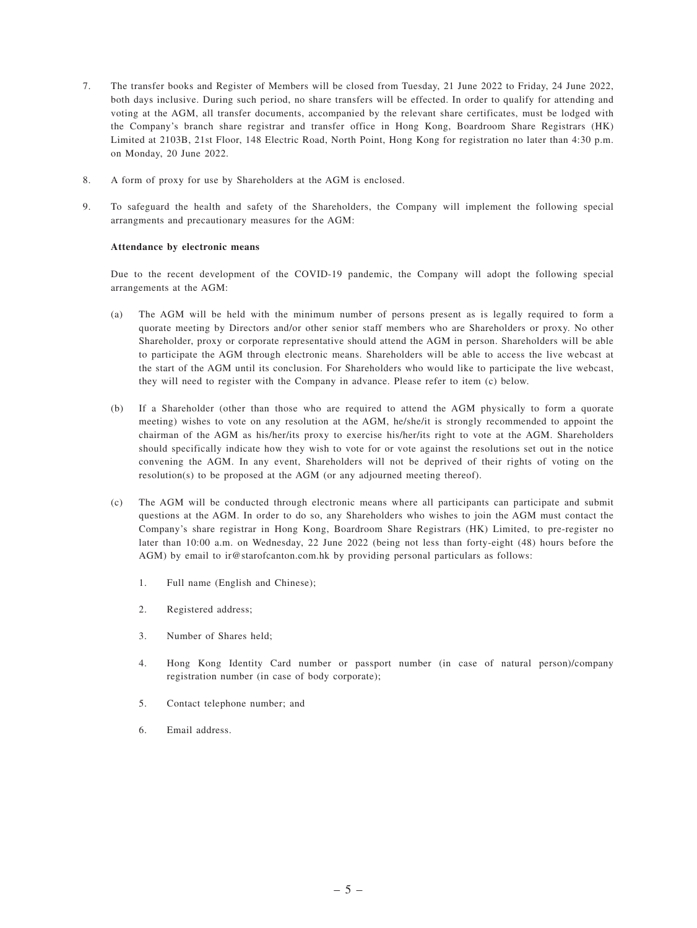- 7. The transfer books and Register of Members will be closed from Tuesday, 21 June 2022 to Friday, 24 June 2022, both days inclusive. During such period, no share transfers will be effected. In order to qualify for attending and voting at the AGM, all transfer documents, accompanied by the relevant share certificates, must be lodged with the Company's branch share registrar and transfer office in Hong Kong, Boardroom Share Registrars (HK) Limited at 2103B, 21st Floor, 148 Electric Road, North Point, Hong Kong for registration no later than 4:30 p.m. on Monday, 20 June 2022.
- 8. A form of proxy for use by Shareholders at the AGM is enclosed.
- 9. To safeguard the health and safety of the Shareholders, the Company will implement the following special arrangments and precautionary measures for the AGM:

#### **Attendance by electronic means**

Due to the recent development of the COVID-19 pandemic, the Company will adopt the following special arrangements at the AGM:

- (a) The AGM will be held with the minimum number of persons present as is legally required to form a quorate meeting by Directors and/or other senior staff members who are Shareholders or proxy. No other Shareholder, proxy or corporate representative should attend the AGM in person. Shareholders will be able to participate the AGM through electronic means. Shareholders will be able to access the live webcast at the start of the AGM until its conclusion. For Shareholders who would like to participate the live webcast, they will need to register with the Company in advance. Please refer to item (c) below.
- (b) If a Shareholder (other than those who are required to attend the AGM physically to form a quorate meeting) wishes to vote on any resolution at the AGM, he/she/it is strongly recommended to appoint the chairman of the AGM as his/her/its proxy to exercise his/her/its right to vote at the AGM. Shareholders should specifically indicate how they wish to vote for or vote against the resolutions set out in the notice convening the AGM. In any event, Shareholders will not be deprived of their rights of voting on the resolution(s) to be proposed at the AGM (or any adjourned meeting thereof).
- (c) The AGM will be conducted through electronic means where all participants can participate and submit questions at the AGM. In order to do so, any Shareholders who wishes to join the AGM must contact the Company's share registrar in Hong Kong, Boardroom Share Registrars (HK) Limited, to pre-register no later than 10:00 a.m. on Wednesday, 22 June 2022 (being not less than forty-eight (48) hours before the AGM) by email to ir@starofcanton.com.hk by providing personal particulars as follows:
	- 1. Full name (English and Chinese);
	- 2. Registered address;
	- 3. Number of Shares held;
	- 4. Hong Kong Identity Card number or passport number (in case of natural person)/company registration number (in case of body corporate);
	- 5. Contact telephone number; and
	- 6. Email address.